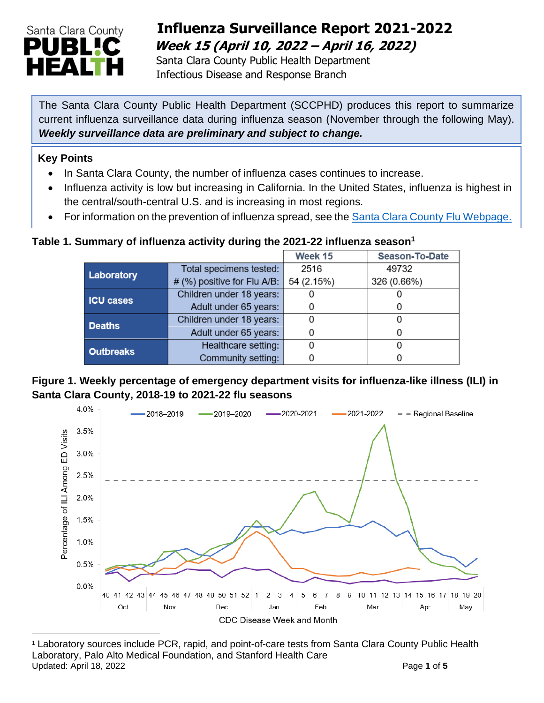

## **Influenza Surveillance Report 2021-2022 Week 15 (April 10, 2022 – April 16, 2022)**

 Santa Clara County Public Health Department Infectious Disease and Response Branch

The Santa Clara County Public Health Department (SCCPHD) produces this report to summarize current influenza surveillance data during influenza season (November through the following May). *Weekly surveillance data are preliminary and subject to change.*

#### **Key Points**

- In Santa Clara County, the number of influenza cases continues to increase.
- Influenza activity is low but increasing in California. In the United States, influenza is highest in the central/south-central U.S. and is increasing in most regions.
- For information on the prevention of influenza spread, see the [Santa Clara County Flu Webpage.](https://publichealth.sccgov.org/disease-information/influenza-flu)

### **Table 1. Summary of influenza activity during the 2021-22 influenza season<sup>1</sup>**

|                  |                             | Week 15    | <b>Season-To-Date</b> |  |
|------------------|-----------------------------|------------|-----------------------|--|
| Laboratory       | Total specimens tested:     | 2516       | 49732                 |  |
|                  | # (%) positive for Flu A/B: | 54 (2.15%) | 326 (0.66%)           |  |
| <b>ICU cases</b> | Children under 18 years:    |            |                       |  |
|                  | Adult under 65 years:       |            | O                     |  |
| <b>Deaths</b>    | Children under 18 years:    |            |                       |  |
|                  | Adult under 65 years:       |            |                       |  |
| <b>Outbreaks</b> | Healthcare setting:         |            |                       |  |
|                  | Community setting:          |            |                       |  |

#### **Figure 1. Weekly percentage of emergency department visits for influenza-like illness (ILI) in Santa Clara County, 2018-19 to 2021-22 flu seasons**



<sup>1</sup> Laboratory sources include PCR, rapid, and point-of-care tests from Santa Clara County Public Health Laboratory, Palo Alto Medical Foundation, and Stanford Health Care Updated: April 18, 2022 **Page 1** of **5**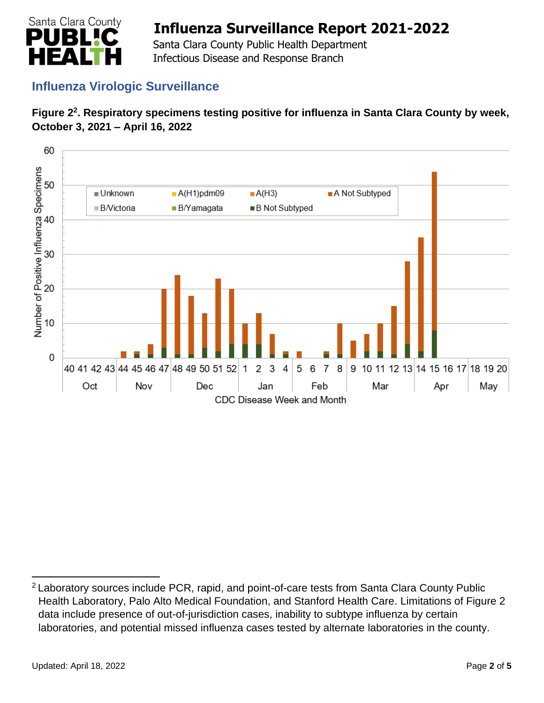

 Santa Clara County Public Health Department Infectious Disease and Response Branch

## **Influenza Virologic Surveillance**





<sup>&</sup>lt;sup>2</sup> Laboratory sources include PCR, rapid, and point-of-care tests from Santa Clara County Public Health Laboratory, Palo Alto Medical Foundation, and Stanford Health Care. Limitations of Figure 2 data include presence of out-of-jurisdiction cases, inability to subtype influenza by certain laboratories, and potential missed influenza cases tested by alternate laboratories in the county.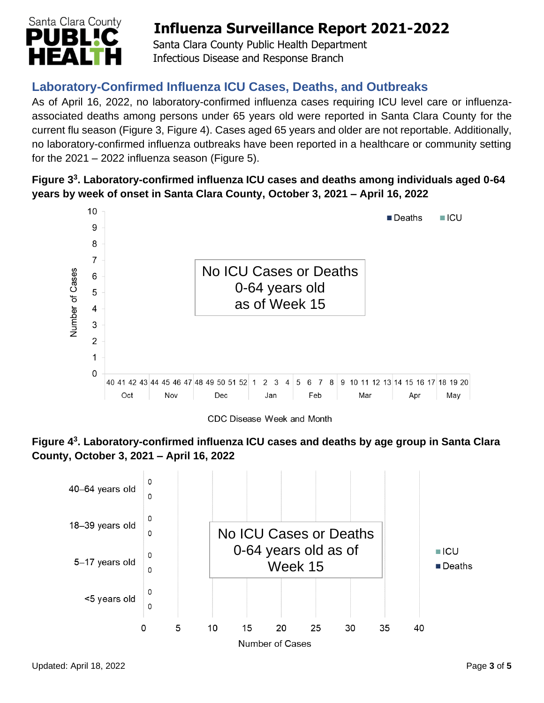

 Santa Clara County Public Health Department Infectious Disease and Response Branch

## **Laboratory-Confirmed Influenza ICU Cases, Deaths, and Outbreaks**

As of April 16, 2022, no laboratory-confirmed influenza cases requiring ICU level care or influenzaassociated deaths among persons under 65 years old were reported in Santa Clara County for the current flu season (Figure 3, Figure 4). Cases aged 65 years and older are not reportable. Additionally, no laboratory-confirmed influenza outbreaks have been reported in a healthcare or community setting for the  $2021 - 2022$  influenza season (Figure 5).

### **Figure 3 3 . Laboratory-confirmed influenza ICU cases and deaths among individuals aged 0-64 years by week of onset in Santa Clara County, October 3, 2021 – April 16, 2022**



CDC Disease Week and Month



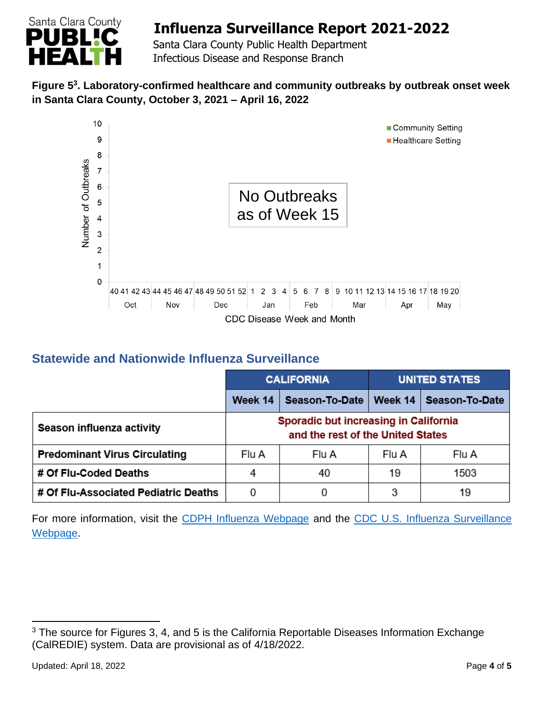

 Santa Clara County Public Health Department Infectious Disease and Response Branch

### **Figure 5 3 . Laboratory-confirmed healthcare and community outbreaks by outbreak onset week in Santa Clara County, October 3, 2021 – April 16, 2022**



### **Statewide and Nationwide Influenza Surveillance**

|                                      | <b>CALIFORNIA</b>                                                                 |                | <b>UNITED STATES</b> |                          |
|--------------------------------------|-----------------------------------------------------------------------------------|----------------|----------------------|--------------------------|
|                                      | Week 14                                                                           | Season-To-Date |                      | Week 14   Season-To-Date |
| Season influenza activity            | <b>Sporadic but increasing in California</b><br>and the rest of the United States |                |                      |                          |
| <b>Predominant Virus Circulating</b> | Flu A                                                                             | Flu A          | Flu A                | Flu A                    |
| # Of Flu-Coded Deaths                | 4                                                                                 | 40             | 19                   | 1503                     |
| # Of Flu-Associated Pediatric Deaths | 0                                                                                 |                | 3                    | 19                       |

For more information, visit the [CDPH Influenza Webpage](http://www.cdph.ca.gov/Programs/CID/DCDC/Pages/Immunization/Influenza.aspx) and the CDC U.S. Influenza Surveillance [Webpage.](http://www.cdc.gov/flu/weekly/)

<sup>&</sup>lt;sup>3</sup> The source for Figures 3, 4, and 5 is the California Reportable Diseases Information Exchange (CalREDIE) system. Data are provisional as of 4/18/2022.